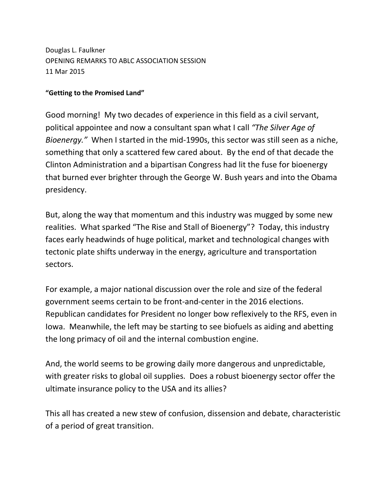Douglas L. Faulkner OPENING REMARKS TO ABLC ASSOCIATION SESSION 11 Mar 2015

## **"Getting to the Promised Land"**

Good morning! My two decades of experience in this field as a civil servant, political appointee and now a consultant span what I call *"The Silver Age of Bioenergy."* When I started in the mid-1990s, this sector was still seen as a niche, something that only a scattered few cared about. By the end of that decade the Clinton Administration and a bipartisan Congress had lit the fuse for bioenergy that burned ever brighter through the George W. Bush years and into the Obama presidency.

But, along the way that momentum and this industry was mugged by some new realities. What sparked "The Rise and Stall of Bioenergy"? Today, this industry faces early headwinds of huge political, market and technological changes with tectonic plate shifts underway in the energy, agriculture and transportation sectors.

For example, a major national discussion over the role and size of the federal government seems certain to be front-and-center in the 2016 elections. Republican candidates for President no longer bow reflexively to the RFS, even in Iowa. Meanwhile, the left may be starting to see biofuels as aiding and abetting the long primacy of oil and the internal combustion engine.

And, the world seems to be growing daily more dangerous and unpredictable, with greater risks to global oil supplies. Does a robust bioenergy sector offer the ultimate insurance policy to the USA and its allies?

This all has created a new stew of confusion, dissension and debate, characteristic of a period of great transition.